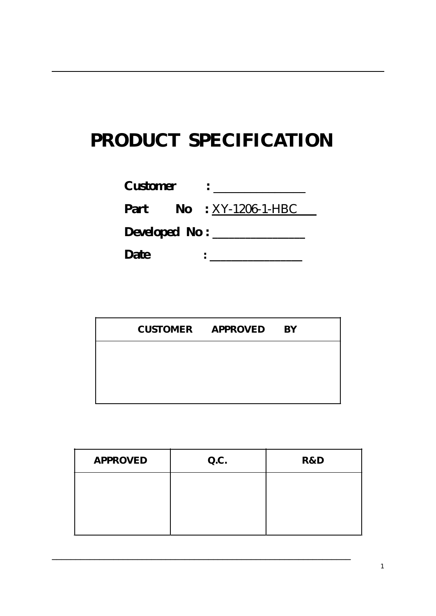# **PRODUCT SPECIFICATION**

| <b>Customer</b>      |                                  |
|----------------------|----------------------------------|
|                      | <b>Part</b> No : $XY-1206-1-HBC$ |
| Developed No : _____ |                                  |
| Date                 |                                  |

|  | <b>CUSTOMER APPROVED</b> | <b>BY</b> |
|--|--------------------------|-----------|
|  |                          |           |
|  |                          |           |
|  |                          |           |

| <b>APPROVED</b> | Q.C. | R&D |
|-----------------|------|-----|
|                 |      |     |
|                 |      |     |
|                 |      |     |

\_\_\_\_\_\_\_\_\_\_\_\_\_\_\_\_\_\_\_\_\_\_\_\_\_\_\_\_\_\_\_\_\_\_\_\_\_\_\_\_\_\_\_\_\_\_\_\_\_\_\_\_\_\_\_\_\_\_\_\_\_\_\_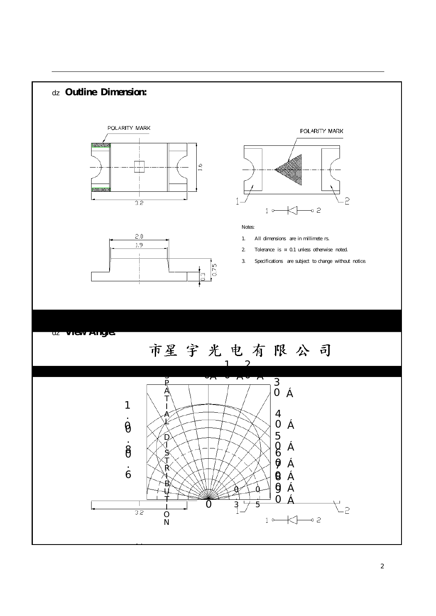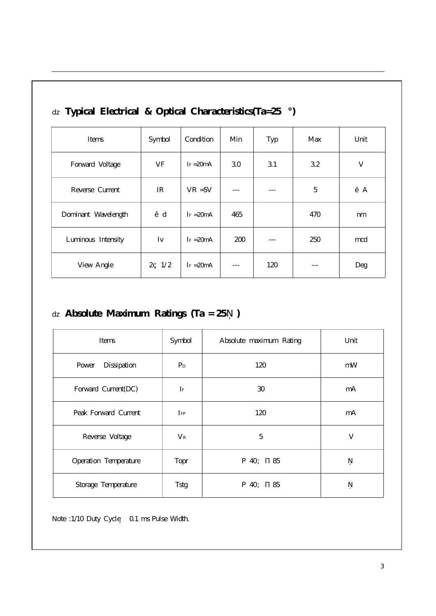| Items               | Symbol          | Condition    | Min        | Typ | Max | Unit    |
|---------------------|-----------------|--------------|------------|-----|-----|---------|
| Forward Voltage     | VF              | $I_F = 20mA$ | 3.0        | 3.1 | 3.2 | V       |
| Reverse Current     | IR              | $VR = 5V$    |            |     | 5   | $\mu$ A |
| Dominant Wavelength | d               | $I_F = 20mA$ | 465        |     | 470 | nm      |
| Luminous Intensity  | Iv              | $I_F = 20mA$ | <b>200</b> |     | 250 | mcd     |
| View Angle          | $2 \frac{1}{2}$ | $I_F = 20mA$ | ---        | 120 |     | Deg     |

### **Typical Electrical & Optical Characteristics(Ta=25 °)**

#### **Absolute Maximum Ratings (Ta = 25 )**

| Items                 | Symbol         | Absolute maximum Rating | Unit |
|-----------------------|----------------|-------------------------|------|
| Power<br>Dissipation  | $P_D$          | 120                     | mW   |
| Forward Current(DC)   | $\mathbf{I}$ F | 30                      | mA   |
| Peak Forward Current  | $I_{\rm FP}$   | 120                     | mA   |
| Reverse Voltage       | $V_{R}$        | 5                       | V    |
| Operation Temperature | Topr           | 85<br>40                |      |
| Storage Temperature   | <b>Tstg</b>    | 85<br>40                |      |

Note :1/10 Duty Cycle 0.1 ms Pulse Width.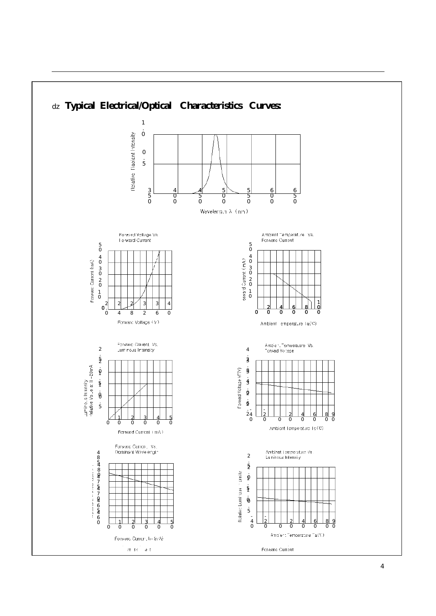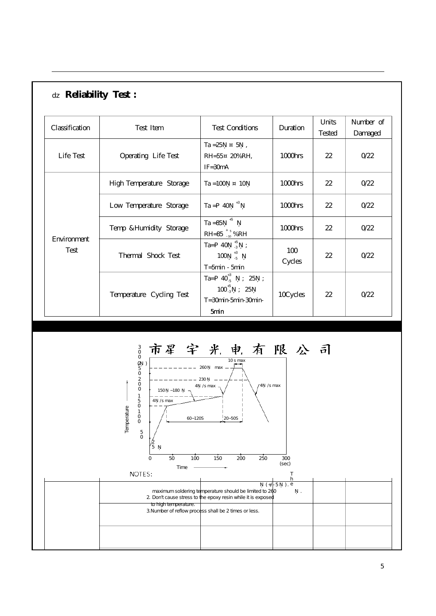| Classification      | <b>Reliability Test:</b><br>Test Item | <b>Test Conditions</b>                                                                | Duration      | Units        | Number of       |
|---------------------|---------------------------------------|---------------------------------------------------------------------------------------|---------------|--------------|-----------------|
| Life Test           | Operating Life Test                   | Ta =25 $\pm$ 5,<br>$RH=55 \pm 20\% RH$ ,<br>$IF = 30mA$                               | 1000hrs       | Tested<br>22 | Damaged<br>0/22 |
| Environment<br>Test | High Temperature Storage              | $Ta = 100 + 10$                                                                       | 1000hrs       | 22           | 0/22            |
|                     | Low Temperature Storage               | $+3$<br>$Ta = 40$                                                                     | 1000hrs       | 22           | 0/22            |
|                     | Temp &Humidity Storage                | $+5$<br>Ta $=85$<br>$RH = 85 \frac{+5}{-10} \% RH$                                    | 1000hrs       | 22           | 0/22            |
|                     | Thermal Shock Test                    | $+5$<br>Ta= $40$<br>$\mathbf{R}$<br>$+3$<br>100<br>$-5$<br>$T = 5min - 5min$          | 100<br>Cycles | 22           | 0/22            |
|                     | Temperature Cycling Test              | Ta= $40^{+3}_{-5}$<br>25<br>$100^{+5}_{-3}$<br>25<br>$T = 30$ min-5min-30min-<br>5min | 10Cycles      | 22           | 0/22            |